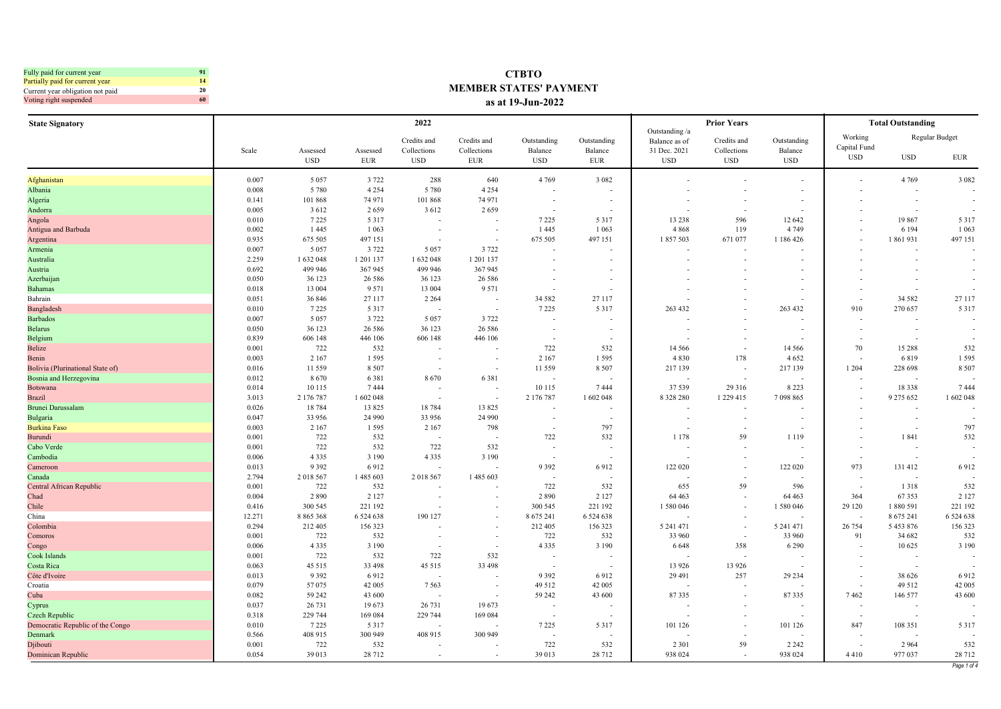| Fully paid for current year      | 91 |
|----------------------------------|----|
| Partially paid for current year  | 14 |
| Current year obligation not paid | 20 |
| Voting right suspended           | 60 |

## **CTBTO MEMBER STATES' PAYMENT as at 19-Jun-2022**

| <b>State Signatory</b>           |        |                        |                        | 2022                                     |                                          |                                      |                               |                                                               | <b>Prior Years</b>                       |                                      |                                       | <b>Total Outstanding</b> |                              |
|----------------------------------|--------|------------------------|------------------------|------------------------------------------|------------------------------------------|--------------------------------------|-------------------------------|---------------------------------------------------------------|------------------------------------------|--------------------------------------|---------------------------------------|--------------------------|------------------------------|
|                                  | Scale  | Assessed<br><b>USD</b> | Assessed<br><b>EUR</b> | Credits and<br>Collections<br><b>USD</b> | Credits and<br>Collections<br><b>EUR</b> | Outstanding<br>Balance<br><b>USD</b> | Outstanding<br>Balance<br>EUR | Outstanding /a<br>Balance as of<br>31 Dec. 2021<br><b>USD</b> | Credits and<br>Collections<br><b>USD</b> | Outstanding<br>Balance<br><b>USD</b> | Working<br>Capital Fund<br><b>USD</b> | <b>USD</b>               | Regular Budget<br><b>EUR</b> |
|                                  |        |                        |                        |                                          |                                          |                                      |                               |                                                               |                                          |                                      |                                       |                          |                              |
| Afghanistan                      | 0.007  | 5 0 5 7                | 3 7 2 2                | 288                                      | 640                                      | 4 7 6 9                              | 3 0 8 2                       |                                                               |                                          |                                      |                                       | 4 7 6 9                  | 3 0 8 2                      |
| Albania                          | 0.008  | 5 7 8 0                | 4 2 5 4                | 5 7 8 0                                  | 4 2 5 4                                  |                                      |                               |                                                               |                                          |                                      |                                       |                          |                              |
| Algeria                          | 0.141  | 101 868                | 74 971                 | 101 868                                  | 74 971                                   |                                      |                               |                                                               |                                          |                                      |                                       |                          |                              |
| Andorra                          | 0.005  | 3 6 1 2                | 2659                   | 3 6 12                                   | 2659                                     |                                      |                               |                                                               |                                          |                                      |                                       |                          |                              |
| Angola                           | 0.010  | 7 2 2 5                | 5 3 1 7                |                                          |                                          | 7 2 2 5                              | 5317                          | 13 238                                                        | 596                                      | 12 642                               |                                       | 19867                    | 5 3 1 7                      |
| Antigua and Barbuda              | 0.002  | 1445                   | 1 0 6 3                |                                          |                                          | 1445                                 | 1 0 6 3                       | 4 8 6 8                                                       | 119                                      | 4 7 4 9                              |                                       | 6 1 9 4                  | 1 0 6 3                      |
| Argentina                        | 0.935  | 675 505                | 497 151                |                                          |                                          | 675 505                              | 497 151                       | 1857503                                                       | 671 077                                  | 1 186 426                            |                                       | 1861931                  | 497 151                      |
| Armenia                          | 0.007  | 5 0 5 7                | 3 7 2 2                | 5 0 5 7                                  | 3 7 2 2                                  |                                      |                               |                                                               |                                          |                                      |                                       |                          |                              |
| Australia                        | 2.259  | 1 632 048              | 1 201 137              | 1 632 048                                | 1 201 137                                |                                      |                               |                                                               |                                          |                                      |                                       |                          |                              |
| Austria                          | 0.692  | 499 946                | 367 945                | 499 946                                  | 367 945                                  |                                      |                               |                                                               |                                          |                                      |                                       |                          |                              |
| Azerbaijan                       | 0.050  | 36 123                 | 26 5 8 6               | 36 123                                   | 26 5 8 6                                 |                                      | $\sim$                        |                                                               |                                          |                                      |                                       |                          |                              |
| <b>Bahamas</b>                   | 0.018  | 13 004                 | 9 5 7 1                | 13 004                                   | 9 5 7 1                                  |                                      |                               |                                                               |                                          |                                      |                                       |                          |                              |
| Bahrain                          | 0.051  | 36 846                 | 27 117                 | 2 2 6 4                                  |                                          | 34 5 82                              | 27 117                        |                                                               |                                          |                                      |                                       | 34 5 82                  | 27 117                       |
| Bangladesh                       | 0.010  | 7 2 2 5                | 5 3 1 7                |                                          |                                          | 7 2 2 5                              | 5 3 1 7                       | 263 432                                                       |                                          | 263 432                              | 910                                   | 270 657                  | 5 3 1 7                      |
| <b>Barbados</b>                  | 0.007  | 5 0 5 7                | 3 7 2 2                | 5 0 5 7                                  | 3 7 2 2                                  |                                      |                               |                                                               |                                          |                                      |                                       |                          |                              |
| <b>Belarus</b>                   | 0.050  | 36 123                 | 26 5 8 6               | 36 123                                   | 26 58 6                                  |                                      |                               |                                                               |                                          |                                      |                                       |                          | $\sim$                       |
| Belgium                          | 0.839  | 606 148                | 446 106                | 606 148                                  | 446 106                                  |                                      |                               |                                                               |                                          |                                      |                                       |                          |                              |
| Belize                           | 0.001  | 722                    | 532                    |                                          |                                          | 722                                  | 532                           | 14 5 6 6                                                      |                                          | 14 5 6 6                             | 70                                    | 15 288                   | 532                          |
| Benin                            | 0.003  | 2 1 6 7                | 1595                   |                                          |                                          | 2 1 6 7                              | 1 5 9 5                       | 4 8 3 0                                                       | 178                                      | 4 6 5 2                              |                                       | 6819                     | 1595                         |
| Bolivia (Plurinational State of) | 0.016  | 11559                  | 8 5 0 7                |                                          |                                          | 11 559                               | 8 5 0 7                       | 217 139                                                       |                                          | 217 139                              | 1 2 0 4                               | 228 698                  | 8 5 0 7                      |
| Bosnia and Herzegovina           | 0.012  | 8670                   | 6381                   | 8670                                     | 6381                                     |                                      |                               |                                                               |                                          |                                      |                                       |                          |                              |
| <b>Botswana</b>                  | 0.014  | 10 115                 | 7444                   |                                          |                                          | 10 115                               | 7444                          | 37 539                                                        | 29 316                                   | 8 2 2 3                              |                                       | 18338                    | 7444                         |
| <b>Brazil</b>                    | 3.013  | 2 176 787              | 1 602 048              |                                          |                                          | 2 176 787                            | 1 602 048                     | 8 3 2 8 2 8 0                                                 | 1 2 2 9 4 1 5                            | 7 098 865                            |                                       | 9 275 652                | 1 602 048                    |
| Brunei Darussalam                | 0.026  | 18784                  | 13825                  | 18784                                    | 13 825                                   |                                      |                               |                                                               |                                          |                                      |                                       |                          |                              |
| <b>Bulgaria</b>                  | 0.047  | 33 956                 | 24 9 9 0               | 33 956                                   | 24 9 9 0                                 |                                      |                               |                                                               |                                          |                                      |                                       |                          |                              |
| <b>Burkina Faso</b>              | 0.003  | 2 1 6 7                | 1 5 9 5                | 2 1 6 7                                  | 798                                      |                                      | 797                           |                                                               |                                          |                                      |                                       |                          | 797                          |
| Burundi                          | 0.001  | 722                    | 532                    |                                          |                                          | 722                                  | 532                           | 1 1 7 8                                                       | 59                                       | 1 1 1 9                              |                                       | 1841                     | 532                          |
| Cabo Verde                       | 0.001  | 722                    | 532                    | 722                                      | 532                                      |                                      |                               |                                                               |                                          |                                      |                                       |                          |                              |
| Cambodia                         | 0.006  | 4 3 3 5                | 3 1 9 0                | 4 3 3 5                                  | 3 1 9 0                                  |                                      |                               |                                                               |                                          |                                      |                                       |                          |                              |
| Cameroon                         | 0.013  | 9 3 9 2                | 6912                   |                                          |                                          | 9392                                 | 6912                          | 122 020                                                       |                                          | 122 020                              | 973                                   | 131 412                  | 6912                         |
| Canada                           | 2.794  | 2 018 567              | 1 485 603              | 2 018 567                                | 1 485 603                                |                                      |                               |                                                               |                                          |                                      |                                       |                          |                              |
| Central African Republic         | 0.001  | 722                    | 532                    |                                          |                                          | 722                                  | 532                           | 655                                                           | 59                                       | 596                                  |                                       | 1318                     | 532                          |
| Chad                             | 0.004  | 2890                   | 2 1 2 7                |                                          |                                          | 2890                                 | 2 1 2 7                       | 64 4 63                                                       |                                          | 64 4 63                              | 364                                   | 67353                    | 2 1 2 7                      |
| Chile                            | 0.416  | 300 545                | 221 192                |                                          |                                          | 300 545                              | 221 192                       | 1 580 046                                                     |                                          | 1 580 046                            | 29 120                                | 1880 591                 | 221 192                      |
| China                            | 12.271 | 8 865 368              | 6 5 24 6 38            | 190 127                                  |                                          | 8 675 241                            | 6 5 24 6 38                   |                                                               |                                          |                                      |                                       | 8 675 241                | 6 5 24 6 38                  |
| Colombia                         | 0.294  | 212 405                | 156 323                |                                          |                                          | 212 405                              | 156 323                       | 5 241 471                                                     |                                          | 5 241 471                            | 26 754                                | 5 453 876                | 156 323                      |
| Comoros                          | 0.001  | 722                    | 532                    |                                          |                                          | 722                                  | 532                           | 33 960                                                        | $\overline{\phantom{a}}$                 | 33 960                               | 91                                    | 34 682                   | 532                          |
| Congo                            | 0.006  | 4 3 3 5                | 3 1 9 0                |                                          |                                          | 4 3 3 5                              | 3 1 9 0                       | 6 6 4 8                                                       | 358                                      | 6 2 9 0                              |                                       | 10 625                   | 3 1 9 0                      |
| Cook Islands                     | 0.001  | 722                    | 532                    | 722                                      | 532                                      |                                      |                               |                                                               |                                          |                                      |                                       |                          |                              |
| Costa Rica                       | 0.063  | 45 5 15                | 33 4 98                | 45 515                                   | 33 498                                   |                                      |                               | 13 9 26                                                       | 13 9 26                                  |                                      |                                       |                          |                              |
| Côte d'Ivoire                    | 0.013  | 9 3 9 2                | 6912                   |                                          |                                          | 9 3 9 2                              | 6912                          | 29 491                                                        | 257                                      | 29 23 4                              |                                       | 38 626                   | 6912                         |
| Croatia                          | 0.079  | 57075                  | 42 005                 | 7 5 6 3                                  | $\overline{\phantom{a}}$                 | 49 5 12                              | 42 005                        |                                                               |                                          |                                      |                                       | 49 512                   | 42 005                       |
| Cuba                             | 0.082  | 59 24 2                | 43 600                 |                                          |                                          | 59 24 2                              | 43 600                        | 87335                                                         |                                          | 87335                                | 7462                                  | 146 577                  | 43 600                       |
| Cyprus                           | 0.037  | 26 731                 | 19673                  | 26 731                                   | 19673                                    | $\overline{\phantom{a}}$             |                               |                                                               |                                          |                                      |                                       | $\overline{\phantom{a}}$ |                              |
| Czech Republic                   | 0.318  | 229 744                | 169 084                | 229 744                                  | 169 084                                  |                                      |                               |                                                               |                                          |                                      |                                       |                          |                              |
| Democratic Republic of the Congo | 0.010  | 7 2 2 5                | 5 3 1 7                |                                          |                                          | 7 2 2 5                              | 5 3 1 7                       | 101 126                                                       |                                          | 101 126                              | 847                                   | 108 351                  | 5 3 1 7                      |
| Denmark                          | 0.566  | 408 915                | 300 949                | 408 915                                  | 300 949                                  |                                      |                               |                                                               |                                          |                                      |                                       |                          |                              |
| Djibouti                         | 0.001  | 722                    | 532                    |                                          |                                          | 722                                  | 532                           | 2 3 0 1                                                       | 59                                       | 2 2 4 2                              |                                       | 2 9 6 4                  | 532                          |
| Dominican Republic               | 0.054  | 39 013                 | 28 7 12                | $\overline{\phantom{a}}$                 | $\sim$                                   | 39 013                               | 28 712                        | 938 024                                                       | $\overline{\phantom{a}}$                 | 938 024                              | 4410                                  | 977 037                  | 28 712<br>Page 1 of 4        |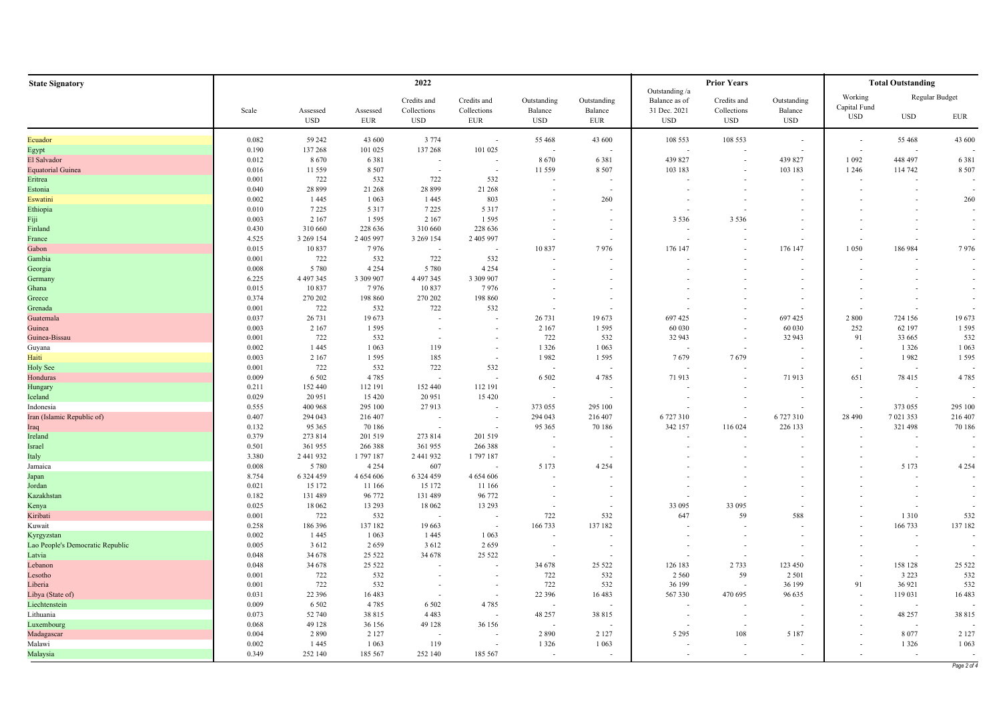| <b>State Signatory</b>           |                |                        |                        | 2022                        |                           |                                     | <b>Prior Years</b>                                   | <b>Total Outstanding</b>        |                           |                       |                            |                                                      |             |
|----------------------------------|----------------|------------------------|------------------------|-----------------------------|---------------------------|-------------------------------------|------------------------------------------------------|---------------------------------|---------------------------|-----------------------|----------------------------|------------------------------------------------------|-------------|
|                                  |                |                        |                        | Credits and                 | Credits and               | Outstanding                         | Outstanding                                          | Outstanding /a<br>Balance as of | Credits and               | Outstanding           | Working                    | Regular Budget                                       |             |
|                                  | Scale          | Assessed<br><b>USD</b> | Assessed<br><b>EUR</b> | Collections<br>$_{\rm USD}$ | Collections<br><b>EUR</b> | Balance<br><b>USD</b>               | Balance<br><b>EUR</b>                                | 31 Dec. 2021<br><b>USD</b>      | Collections<br><b>USD</b> | Balance<br><b>USD</b> | Capital Fund<br><b>USD</b> | <b>USD</b>                                           | EUR         |
|                                  |                |                        |                        |                             |                           |                                     |                                                      |                                 |                           |                       |                            |                                                      |             |
| Ecuador                          | 0.082<br>0.190 | 59 24 2<br>137 268     | 43 600<br>101 025      | 3 7 7 4<br>137 268          | $\sim$<br>101 025         | 55 468                              | 43 600                                               | 108 553                         | 108 553                   |                       | $\overline{\phantom{a}}$   | 55 468                                               | 43 600      |
| Egypt<br>El Salvador             | 0.012          | 8670                   | 6381                   | $\overline{\phantom{a}}$    | $\overline{\phantom{a}}$  | 8670                                | 6381                                                 | 439 827                         |                           | 439 827               | 1 0 9 2                    | 448 497                                              | 6381        |
| <b>Equatorial Guinea</b>         | 0.016          | 11559                  | 8 5 0 7                |                             |                           | 11 559                              | 8 5 0 7                                              | 103 183                         |                           | 103 183               | 1 2 4 6                    | 114 742                                              | 8 5 0 7     |
| Eritrea                          | 0.001          | 722                    | 532                    | 722                         | 532                       |                                     |                                                      |                                 |                           |                       |                            |                                                      |             |
| Estonia                          | 0.040          | 28 8 9 9               | 21 268                 | 28 899                      | 21 268                    |                                     |                                                      |                                 |                           |                       |                            |                                                      |             |
| Eswatini                         | 0.002          | 1445                   | 1 0 6 3                | 1445                        | 803                       |                                     | 260                                                  |                                 |                           |                       |                            |                                                      | 260         |
| Ethiopia                         | 0.010          | 7 2 2 5                | 5 3 1 7                | 7 2 2 5                     | 5 3 1 7                   |                                     |                                                      |                                 |                           |                       |                            |                                                      |             |
| Fiji                             | 0.003          | 2 1 6 7                | 1 5 9 5                | 2 1 6 7                     | 1 5 9 5                   |                                     |                                                      | 3 5 3 6                         | 3 5 3 6                   |                       |                            |                                                      |             |
| Finland                          | 0.430          | 310 660                | 228 636                | 310 660                     | 228 636                   |                                     |                                                      |                                 |                           |                       |                            |                                                      |             |
| France                           | 4.525          | 3 269 154              | 2 405 997              | 3 269 154                   | 2 405 997                 |                                     |                                                      |                                 |                           |                       |                            |                                                      |             |
| Gabon                            | 0.015          | 10837                  | 7976                   |                             |                           | 10837                               | 7976                                                 | 176 147                         |                           | 176 147               | 1 0 5 0                    | 186 984                                              | 7976        |
| Gambia                           | 0.001          | 722                    | 532                    | 722                         | 532                       |                                     |                                                      |                                 |                           |                       |                            |                                                      |             |
| Georgia                          | 0.008          | 5 7 8 0                | 4 2 5 4                | 5 7 8 0                     | 4 2 5 4                   |                                     |                                                      |                                 |                           |                       |                            |                                                      |             |
| Germany                          | 6.225          | 4 497 345              | 3 309 907              | 4 4 9 7 3 4 5               | 3 309 907                 |                                     |                                                      |                                 |                           |                       |                            |                                                      |             |
| Ghana                            | 0.015          | 10837                  | 7976                   | 10837                       | 7976                      |                                     | $\overline{\phantom{a}}$                             |                                 |                           |                       |                            |                                                      |             |
| Greece<br>Grenada                | 0.374<br>0.001 | 270 202<br>722         | 198 860<br>532         | 270 202<br>722              | 198 860<br>532            |                                     | $\overline{\phantom{a}}$<br>$\overline{\phantom{a}}$ |                                 |                           |                       |                            |                                                      |             |
| Guatemala                        | 0.037          | 26 731                 | 19673                  | $\overline{\phantom{a}}$    |                           | 26 731                              | 19673                                                | 697 425                         |                           | 697 425               | 2 8 0 0                    | 724 156                                              | 19673       |
| Guinea                           | 0.003          | 2 1 6 7                | 1 5 9 5                |                             |                           | 2 1 6 7                             | 1 5 9 5                                              | 60 030                          |                           | 60 030                | 252                        | 62 197                                               | 1 5 9 5     |
| Guinea-Bissau                    | 0.001          | 722                    | 532                    |                             |                           | 722                                 | 532                                                  | 32 943                          |                           | 32 943                | 91                         | 33 665                                               | 532         |
| Guyana                           | 0.002          | 1 4 4 5                | 1 0 63                 | 119                         | $\overline{\phantom{a}}$  | 1 3 2 6                             | 1 0 6 3                                              |                                 |                           |                       |                            | 1 3 2 6                                              | 1 0 6 3     |
| Haiti                            | 0.003          | 2 1 6 7                | 1595                   | 185                         |                           | 1982                                | 1 5 9 5                                              | 7679                            | 7679                      |                       |                            | 1982                                                 | 1 5 9 5     |
| <b>Holy See</b>                  | 0.001          | 722                    | 532                    | 722                         | 532                       | $\sim$                              |                                                      |                                 |                           |                       |                            | . —                                                  |             |
| Honduras                         | 0.009          | 6 5 0 2                | 4785                   |                             |                           | 6 5 0 2                             | 4785                                                 | 71913                           |                           | 71913                 | 651                        | 78 415                                               | 4 7 8 5     |
| Hungary                          | 0.211          | 152 440                | 112 191                | 152 440                     | 112 191                   | $\sim$                              | $\overline{\phantom{a}}$                             |                                 |                           |                       |                            | $\overline{\phantom{a}}$                             |             |
| Iceland                          | 0.029          | 20 951                 | 15420                  | 20 951                      | 15 4 20                   |                                     |                                                      |                                 |                           |                       |                            |                                                      |             |
| Indonesia                        | 0.555          | 400 968                | 295 100                | 27913                       |                           | 373 055                             | 295 100                                              |                                 |                           |                       |                            | 373 055                                              | 295 100     |
| Iran (Islamic Republic of)       | 0.407          | 294 043                | 216 407                |                             |                           | 294 043                             | 216 407                                              | 6727310                         |                           | 6727310               | 28 490                     | 7 021 353                                            | 216 407     |
| Iraq                             | 0.132          | 95 365                 | 70 186                 |                             |                           | 95 365                              | 70 186                                               | 342 157                         | 116 024                   | 226 133               |                            | 321 498                                              | 70 186      |
| Ireland                          | 0.379          | 273 814                | 201 519                | 273 814                     | 201 519                   |                                     |                                                      |                                 |                           |                       |                            |                                                      |             |
| Israel                           | 0.501<br>3.380 | 361 955<br>2 441 932   | 266 388                | 361 955                     | 266 388                   | $\overline{\phantom{a}}$            |                                                      |                                 |                           |                       |                            | $\overline{\phantom{a}}$<br>$\overline{\phantom{a}}$ |             |
| Italy<br>Jamaica                 | 0.008          | 5 7 8 0                | 1797187<br>4 2 5 4     | 2 441 932<br>607            | 1797187                   | $\overline{\phantom{a}}$<br>5 1 7 3 | 4 2 5 4                                              |                                 |                           |                       |                            | 5 1 7 3                                              | 4 2 5 4     |
| Japan                            | 8.754          | 6 3 2 4 4 5 9          | 4 654 606              | 6 3 2 4 4 5 9               | 4 654 606                 | $\overline{\phantom{a}}$            |                                                      |                                 |                           |                       |                            |                                                      |             |
| Jordan                           | 0.021          | 15 172                 | 11 166                 | 15 172                      | 11 166                    |                                     | $\overline{\phantom{a}}$                             |                                 |                           |                       |                            |                                                      |             |
| Kazakhstan                       | 0.182          | 131 489                | 96 772                 | 131 489                     | 96 772                    |                                     | $\overline{\phantom{a}}$                             |                                 |                           |                       |                            |                                                      |             |
| Kenya                            | 0.025          | 18 062                 | 13 29 3                | 18 062                      | 13 29 3                   | $\overline{\phantom{a}}$            | $\overline{\phantom{a}}$                             | 33 095                          | 33 095                    |                       |                            |                                                      |             |
| Kiribati                         | 0.001          | 722                    | 532                    | $\overline{\phantom{a}}$    | $\sim$                    | 722                                 | 532                                                  | 647                             | 59                        | 588                   |                            | 1310                                                 | 532         |
| Kuwait                           | 0.258          | 186 396                | 137 182                | 19 663                      | $\overline{\phantom{a}}$  | 166 733                             | 137 182                                              |                                 |                           |                       |                            | 166 733                                              | 137 182     |
| Kyrgyzstan                       | 0.002          | 1445                   | 1 0 6 3                | 1 4 4 5                     | 1 0 6 3                   | $\overline{\phantom{a}}$            |                                                      |                                 |                           |                       |                            |                                                      |             |
| Lao People's Democratic Republic | 0.005          | 3 6 1 2                | 2659                   | 3 6 1 2                     | 2659                      |                                     | $\overline{\phantom{a}}$                             |                                 |                           |                       |                            |                                                      |             |
| Latvia                           | 0.048          | 34 678                 | 25 5 22                | 34 678                      | 25 5 22                   | $\sim$                              | $\overline{\phantom{a}}$                             |                                 |                           |                       |                            | . —                                                  |             |
| Lebanon                          | 0.048          | 34 678                 | 25 5 22                |                             |                           | 34 678                              | 25 5 22                                              | 126 183                         | 2 7 3 3                   | 123 450               |                            | 158 128                                              | 25 5 22     |
| Lesotho                          | 0.001          | 722                    | 532                    |                             |                           | 722                                 | 532                                                  | 2 5 6 0                         | 59                        | 2 5 0 1               |                            | 3 2 2 3                                              | 532         |
| Liberia                          | 0.001          | 722                    | 532                    |                             |                           | 722                                 | 532                                                  | 36 199                          |                           | 36 199                | 91                         | 36 921                                               | 532         |
| Libya (State of)                 | 0.031          | 22 3 9 6               | 16483                  |                             | $\sim$                    | 22 396                              | 16 483                                               | 567330                          | 470 695                   | 96 635                |                            | 119 031                                              | 16 483      |
| Liechtenstein                    | 0.009<br>0.073 | 6 5 0 2                | 4 7 8 5<br>38 815      | 6 5 0 2<br>4 4 8 3          | 4785                      | 48 257                              | 38 815                                               |                                 |                           |                       |                            | 48 257                                               | 38 815      |
| Lithuania<br>Luxembourg          | 0.068          | 52 740<br>49 128       | 36 156                 | 49 128                      | 36 156                    |                                     |                                                      |                                 |                           |                       |                            |                                                      |             |
| Madagascar                       | 0.004          | 2890                   | 2 1 2 7                |                             |                           | 2890                                | 2 1 2 7                                              | 5 2 9 5                         | 108                       | 5 1 8 7               |                            | 8077                                                 | 2 1 2 7     |
| Malawi                           | 0.002          | 1445                   | 1 0 63                 | 119                         |                           | 1 3 2 6                             | 1 0 6 3                                              |                                 |                           |                       |                            | 1 3 2 6                                              | 1 0 6 3     |
| Malaysia                         | 0.349          | 252 140                | 185 567                | 252 140                     | 185 567                   |                                     |                                                      | $\sim$                          | $\overline{\phantom{a}}$  |                       |                            |                                                      |             |
|                                  |                |                        |                        |                             |                           |                                     |                                                      |                                 |                           |                       |                            |                                                      | Page 2 of 4 |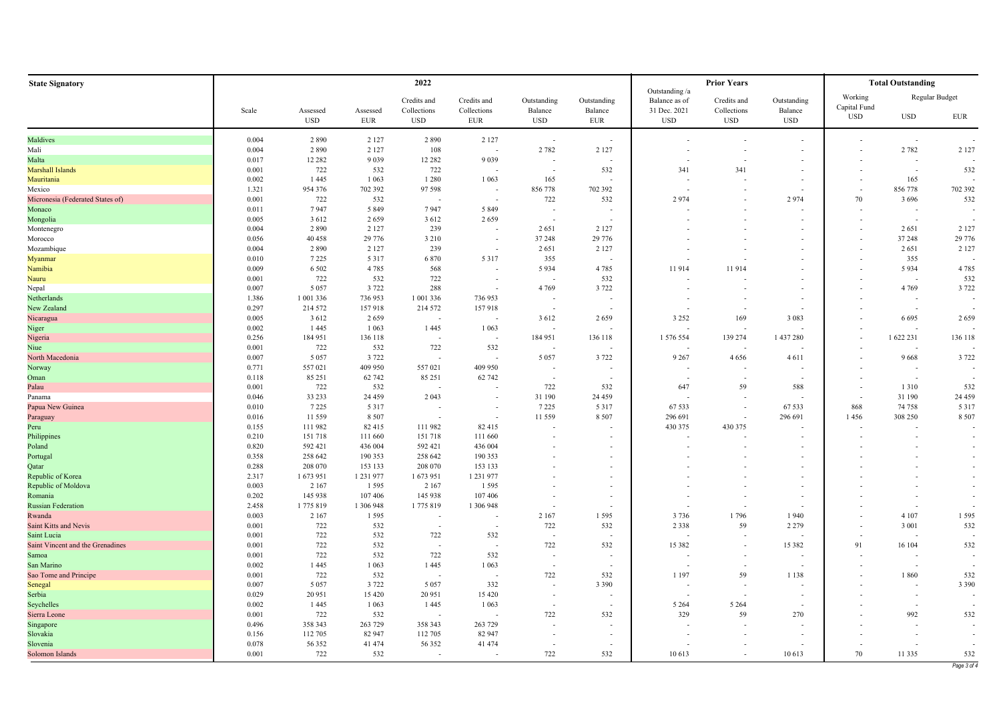| <b>State Signatory</b>           |       |                          |                        | 2022                      |                           |                          |                          |                                 | <b>Prior Years</b>        |                       |                         | <b>Total Outstanding</b> |                          |
|----------------------------------|-------|--------------------------|------------------------|---------------------------|---------------------------|--------------------------|--------------------------|---------------------------------|---------------------------|-----------------------|-------------------------|--------------------------|--------------------------|
|                                  |       |                          |                        | Credits and               | Credits and               | Outstanding              | Outstanding              | Outstanding /a<br>Balance as of | Credits and               | Outstanding           | Working<br>Capital Fund |                          | Regular Budget           |
|                                  | Scale | Assessed<br>$_{\rm USD}$ | Assessed<br><b>EUR</b> | Collections<br><b>USD</b> | Collections<br><b>EUR</b> | Balance<br><b>USD</b>    | Balance<br><b>EUR</b>    | 31 Dec. 2021<br><b>USD</b>      | Collections<br><b>USD</b> | Balance<br><b>USD</b> | <b>USD</b>              | $_{\rm USD}$             | ${\rm EUR}$              |
| Maldives                         | 0.004 | 2890                     | 2 1 2 7                | 2890                      | 2 1 2 7                   | $\sim$                   | $\overline{\phantom{a}}$ |                                 |                           |                       |                         | $\sim$                   |                          |
| Mali                             | 0.004 | 2890                     | 2 1 2 7                | 108                       |                           | 2 7 8 2                  | 2 1 2 7                  |                                 |                           |                       |                         | 2 7 8 2                  | 2 1 2 7                  |
| Malta                            | 0.017 | 12 2 8 2                 | 9 0 3 9                | 12 28 2                   | 9 0 3 9                   | $\sim$                   |                          |                                 |                           |                       |                         | $\overline{\phantom{a}}$ |                          |
| Marshall Islands                 | 0.001 | 722                      | 532                    | 722                       |                           |                          | 532                      | 341                             | 341                       |                       |                         | $\sim$                   | 532                      |
| Mauritania                       | 0.002 | 1445                     | 1 0 6 3                | 1 2 8 0                   | 1 0 6 3                   | 165                      |                          |                                 |                           |                       |                         | 165                      |                          |
| Mexico                           | 1.321 | 954 376                  | 702 392                | 97 598                    |                           | 856778                   | 702 392                  |                                 |                           |                       |                         | 856 778                  | 702 392                  |
| Micronesia (Federated States of) | 0.001 | 722                      | 532                    |                           |                           | 722                      | 532                      | 2974                            |                           | 2974                  | 70                      | 3 6 9 6                  | 532                      |
| Monaco                           | 0.011 | 7947                     | 5 8 4 9                | 7947                      | 5 8 4 9                   | $\overline{\phantom{a}}$ |                          |                                 |                           |                       |                         |                          |                          |
| Mongolia                         | 0.005 | 3612                     | 2659                   | 3612                      | 2659                      | $\overline{\phantom{a}}$ |                          |                                 |                           |                       |                         |                          |                          |
| Montenegro                       | 0.004 | 2890                     | 2 1 2 7                | 239                       |                           | 2651                     | 2 1 2 7                  |                                 |                           |                       |                         | 2651                     | 2 1 2 7                  |
| Morocco                          | 0.056 | 40 458                   | 29 776                 | 3 2 1 0                   | $\sim$                    | 37 248                   | 29 776                   |                                 |                           |                       |                         | 37 248                   | 29 776                   |
| Mozambique                       | 0.004 | 2890                     | 2 1 2 7                | 239                       | $\sim$                    | 2651                     | 2 1 2 7                  |                                 |                           |                       |                         | 2651                     | 2 1 2 7                  |
| Myanmar                          | 0.010 | 7 2 2 5                  | 5 3 1 7                | 6 8 7 0                   | 5 3 1 7                   | 355                      | $\overline{\phantom{a}}$ |                                 |                           |                       |                         | 355                      |                          |
| Namibia                          | 0.009 | 6 5 0 2                  | 4785                   | 568                       | $\overline{\phantom{a}}$  | 5 9 3 4                  | 4 7 8 5                  | 11914                           | 11914                     |                       |                         | 5934                     | 4 7 8 5                  |
|                                  |       |                          |                        |                           |                           |                          |                          |                                 |                           |                       |                         |                          |                          |
| Nauru                            | 0.001 | 722                      | 532                    | 722                       | $\sim$                    | ۰.                       | 532                      |                                 |                           |                       |                         |                          | 532                      |
| Nepal                            | 0.007 | 5 0 5 7                  | 3 7 2 2                | 288                       |                           | 4 7 6 9                  | 3 7 2 2                  |                                 |                           |                       |                         | 4 7 6 9                  | 3 7 2 2                  |
| Netherlands                      | 1.386 | 1 001 336                | 736 953                | 1 001 336                 | 736 953                   | $\overline{\phantom{a}}$ | $\overline{\phantom{a}}$ |                                 |                           |                       |                         | $\overline{\phantom{a}}$ |                          |
| New Zealand                      | 0.297 | 214 572                  | 157918                 | 214 572                   | 157918                    | $\sim$                   | $\overline{a}$           |                                 |                           |                       |                         | $\sim$                   |                          |
| Nicaragua                        | 0.005 | 3612                     | 2659                   |                           |                           | 3 6 1 2                  | 2659                     | 3 2 5 2                         | 169                       | 3 0 8 3               |                         | 6 6 9 5                  | 2659                     |
| Niger                            | 0.002 | 1445                     | 1 0 6 3                | 1 4 4 5                   | 1 0 6 3                   |                          |                          |                                 |                           |                       |                         |                          |                          |
| Nigeria                          | 0.256 | 184 951                  | 136 118                |                           |                           | 184 951                  | 136 118                  | 1 576 554                       | 139 274                   | 1 437 280             |                         | 1 622 231                | 136 118                  |
| Niue                             | 0.001 | 722                      | 532                    | 722                       | 532                       | $\sim$                   |                          |                                 |                           |                       |                         | $\overline{\phantom{a}}$ |                          |
| North Macedonia                  | 0.007 | 5 0 5 7                  | 3 7 2 2                |                           |                           | 5 0 5 7                  | 3 7 2 2                  | 9 2 6 7                         | 4656                      | 4611                  |                         | 9668                     | 3 7 2 2                  |
| Norway                           | 0.771 | 557 021                  | 409 950                | 557 021                   | 409 950                   | $\overline{\phantom{a}}$ | $\overline{\phantom{a}}$ |                                 |                           |                       |                         | $\overline{\phantom{a}}$ |                          |
| Oman                             | 0.118 | 85 25 1                  | 62 742                 | 85 25 1                   | 62 742                    |                          |                          |                                 |                           |                       |                         |                          |                          |
| Palau                            | 0.001 | 722                      | 532                    | $\sim$                    |                           | 722                      | 532                      | 647                             | 59                        | 588                   |                         | 1310                     | 532                      |
| Panama                           | 0.046 | 33 233                   | 24 4 5 9               | 2 0 4 3                   |                           | 31 190                   | 24 45 9                  |                                 |                           |                       |                         | 31 190                   | 24 45 9                  |
| Papua New Guinea                 | 0.010 | 7 2 2 5                  | 5 3 1 7                |                           |                           | 7 2 2 5                  | 5 3 1 7                  | 67 533                          |                           | 67 533                | 868                     | 74 758                   | 5 3 1 7                  |
| Paraguay                         | 0.016 | 11559                    | 8 5 0 7                |                           |                           | 11 559                   | 8 5 0 7                  | 296 691                         |                           | 296 691               | 1456                    | 308 250                  | 8 5 0 7                  |
| Peru                             | 0.155 | 111982                   | 82415                  | 111982                    | 82 415                    |                          |                          | 430 375                         | 430 375                   |                       |                         |                          |                          |
| Philippines                      | 0.210 | 151718                   | 111 660                | 151718                    | 111 660                   |                          |                          |                                 |                           |                       |                         |                          | $\overline{\phantom{a}}$ |
| Poland                           | 0.820 | 592 421                  | 436 004                | 592 421                   | 436 004                   |                          |                          |                                 |                           |                       |                         |                          |                          |
| Portugal                         | 0.358 | 258 642                  | 190 353                | 258 642                   | 190 353                   |                          | $\overline{\phantom{a}}$ |                                 |                           |                       |                         |                          |                          |
| Qatar                            | 0.288 | 208 070                  | 153 133                | 208 070                   | 153 133                   |                          | $\overline{\phantom{a}}$ |                                 |                           |                       |                         |                          |                          |
| Republic of Korea                | 2.317 | 1673951                  | 1 231 977              | 1673951                   | 1 231 977                 |                          | $\overline{\phantom{a}}$ |                                 |                           |                       |                         |                          |                          |
| Republic of Moldova              | 0.003 | 2 1 6 7                  | 1 5 9 5                | 2 1 6 7                   | 1595                      |                          | $\overline{\phantom{a}}$ |                                 |                           |                       |                         |                          |                          |
| Romania                          | 0.202 | 145 938                  | 107 406                | 145 938                   | 107 406                   |                          | $\overline{\phantom{a}}$ |                                 |                           |                       |                         |                          |                          |
| <b>Russian Federation</b>        | 2.458 | 1775819                  | 1 306 948              | 1775819                   | 1 306 948                 |                          | $\overline{\phantom{a}}$ |                                 |                           |                       |                         |                          |                          |
| Rwanda                           | 0.003 | 2 1 6 7                  | 1 5 9 5                | $\sim$                    |                           | 2 1 6 7                  | 1595                     | 3736                            | 1796                      | 1940                  |                         | 4 1 0 7                  | 1595                     |
| Saint Kitts and Nevis            | 0.001 | 722                      | 532                    |                           |                           | 722                      | 532                      | 2 3 3 8                         | 59                        | 2 2 7 9               |                         | 3 0 0 1                  | 532                      |
| Saint Lucia                      | 0.001 | 722                      | 532                    | 722                       | 532                       | $\overline{\phantom{a}}$ |                          |                                 |                           |                       |                         |                          |                          |
| Saint Vincent and the Grenadines | 0.001 | 722                      | 532                    |                           |                           | 722                      | 532                      | 15 382                          |                           | 15 382                | 91                      | 16 104                   | 532                      |
| Samoa                            | 0.001 | 722                      | 532                    | 722                       | 532                       | $\overline{\phantom{a}}$ | $\overline{\phantom{a}}$ |                                 |                           |                       |                         |                          |                          |
| San Marino                       | 0.002 | 1445                     | 1 0 6 3                | 1 4 4 5                   | 1 0 6 3                   | $\overline{\phantom{a}}$ |                          |                                 |                           |                       |                         |                          |                          |
| Sao Tome and Principe            | 0.001 | 722                      | 532                    |                           |                           | 722                      | 532                      | 1 1 9 7                         | 59                        | 1 1 3 8               |                         | 1860                     | 532                      |
| Senegal                          | 0.007 | 5 0 5 7                  | 3 7 2 2                | 5 0 5 7                   | 332                       |                          | 3 3 9 0                  |                                 |                           |                       |                         |                          | 3 3 9 0                  |
| Serbia                           | 0.029 | 20 951                   | 15 4 20                | 20 951                    | 15 4 20                   |                          | $\overline{\phantom{a}}$ |                                 |                           |                       |                         | $\sim$                   | $\sim$                   |
| Seychelles                       | 0.002 | 1445                     | 1 0 6 3                | 1445                      | 1 0 6 3                   | $\overline{\phantom{a}}$ | ÷.                       | 5 2 6 4                         | 5 2 6 4                   |                       |                         |                          | ÷.                       |
| Sierra Leone                     | 0.001 | 722                      | 532                    |                           |                           | 722                      | 532                      | 329                             | 59                        | 270                   |                         | 992                      | 532                      |
| Singapore                        | 0.496 | 358 343                  | 263 729                | 358 343                   | 263 729                   |                          |                          |                                 |                           |                       |                         |                          |                          |
| Slovakia                         | 0.156 | 112 705                  | 82 947                 | 112 705                   | 82 947                    |                          |                          |                                 |                           |                       |                         |                          |                          |
| Slovenia                         | 0.078 | 56352                    | 41 474                 | 56 352                    | 41 474                    |                          |                          |                                 |                           |                       |                         |                          |                          |
| Solomon Islands                  | 0.001 | 722                      | 532                    | $\sim$                    |                           | 722                      | 532                      | 10 613                          | $\overline{\phantom{a}}$  | 10 613                | 70                      | 11 3 35                  | 532                      |
|                                  |       |                          |                        |                           |                           |                          |                          |                                 |                           |                       |                         |                          | Page 3 of 4              |